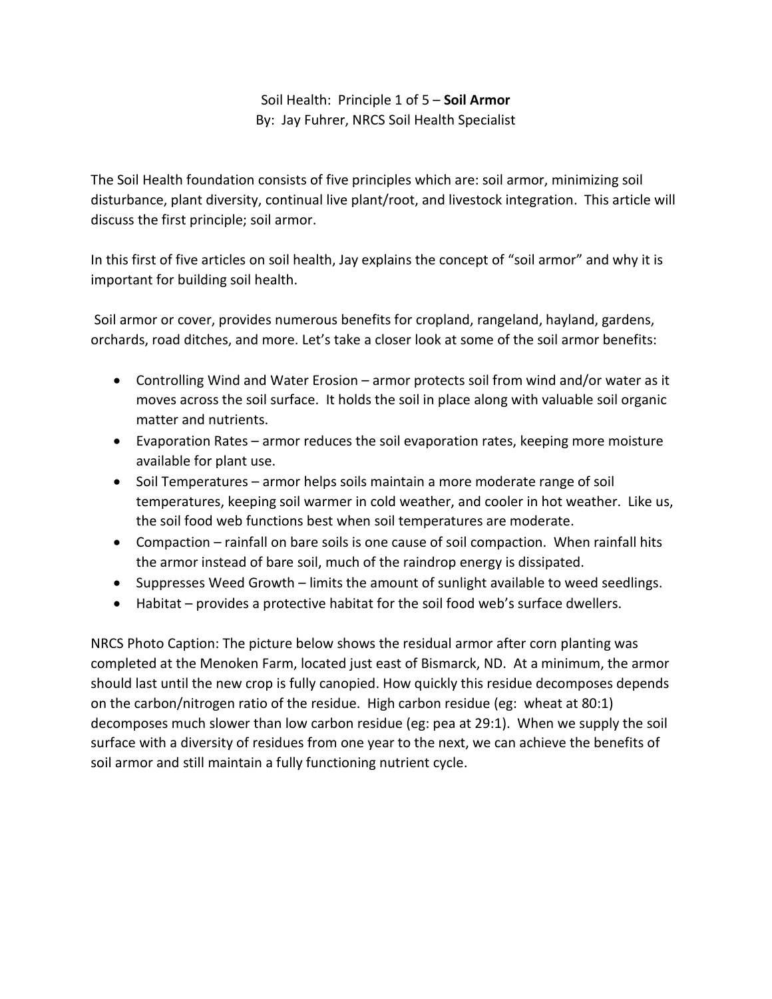## Soil Health: Principle 1 of 5 – **Soil Armor** By: Jay Fuhrer, NRCS Soil Health Specialist

The Soil Health foundation consists of five principles which are: soil armor, minimizing soil disturbance, plant diversity, continual live plant/root, and livestock integration. This article will discuss the first principle; soil armor.

In this first of five articles on soil health, Jay explains the concept of "soil armor" and why it is important for building soil health.

Soil armor or cover, provides numerous benefits for cropland, rangeland, hayland, gardens, orchards, road ditches, and more. Let's take a closer look at some of the soil armor benefits:

- Controlling Wind and Water Erosion armor protects soil from wind and/or water as it moves across the soil surface. It holds the soil in place along with valuable soil organic matter and nutrients.
- Evaporation Rates armor reduces the soil evaporation rates, keeping more moisture available for plant use.
- Soil Temperatures armor helps soils maintain a more moderate range of soil temperatures, keeping soil warmer in cold weather, and cooler in hot weather. Like us, the soil food web functions best when soil temperatures are moderate.
- Compaction rainfall on bare soils is one cause of soil compaction. When rainfall hits the armor instead of bare soil, much of the raindrop energy is dissipated.
- Suppresses Weed Growth limits the amount of sunlight available to weed seedlings.
- Habitat provides a protective habitat for the soil food web's surface dwellers.

NRCS Photo Caption: The picture below shows the residual armor after corn planting was completed at the Menoken Farm, located just east of Bismarck, ND. At a minimum, the armor should last until the new crop is fully canopied. How quickly this residue decomposes depends on the carbon/nitrogen ratio of the residue. High carbon residue (eg: wheat at 80:1) decomposes much slower than low carbon residue (eg: pea at 29:1). When we supply the soil surface with a diversity of residues from one year to the next, we can achieve the benefits of soil armor and still maintain a fully functioning nutrient cycle.